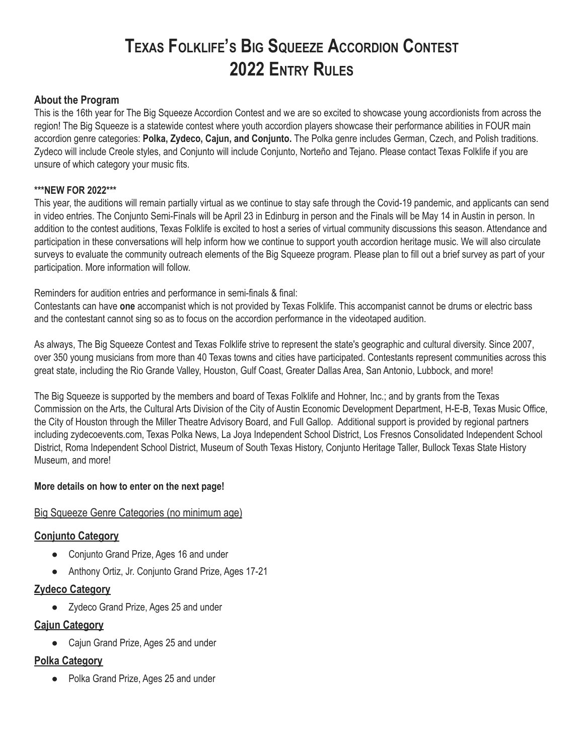# **TEXAS FOLKLIFE'<sup>S</sup> BIG SQUEEZE ACCORDION CONTEST 2022 ENTRY RULES**

#### **About the Program**

This is the 16th year for The Big Squeeze Accordion Contest and we are so excited to showcase young accordionists from across the region! The Big Squeeze is a statewide contest where youth accordion players showcase their performance abilities in FOUR main accordion genre categories: **Polka, Zydeco, Cajun, and Conjunto.** The Polka genre includes German, Czech, and Polish traditions. Zydeco will include Creole styles, and Conjunto will include Conjunto, Norteño and Tejano. Please contact Texas Folklife if you are unsure of which category your music fits.

#### **\*\*\*NEW FOR 2022\*\*\***

This year, the auditions will remain partially virtual as we continue to stay safe through the Covid-19 pandemic, and applicants can send in video entries. The Conjunto Semi-Finals will be April 23 in Edinburg in person and the Finals will be May 14 in Austin in person. In addition to the contest auditions, Texas Folklife is excited to host a series of virtual community discussions this season. Attendance and participation in these conversations will help inform how we continue to support youth accordion heritage music. We will also circulate surveys to evaluate the community outreach elements of the Big Squeeze program. Please plan to fill out a brief survey as part of your participation. More information will follow.

Reminders for audition entries and performance in semi-finals & final:

Contestants can have **one** accompanist which is not provided by Texas Folklife. This accompanist cannot be drums or electric bass and the contestant cannot sing so as to focus on the accordion performance in the videotaped audition.

As always, The Big Squeeze Contest and Texas Folklife strive to represent the state's geographic and cultural diversity. Since 2007, over 350 young musicians from more than 40 Texas towns and cities have participated. Contestants represent communities across this great state, including the Rio Grande Valley, Houston, Gulf Coast, Greater Dallas Area, San Antonio, Lubbock, and more!

The Big Squeeze is supported by the members and board of Texas Folklife and Hohner, Inc.; and by grants from the Texas Commission on the Arts, the Cultural Arts Division of the City of Austin Economic Development Department, H-E-B, Texas Music Office, the City of Houston through the Miller Theatre Advisory Board, and Full Gallop. Additional support is provided by regional partners including zydecoevents.com, Texas Polka News, La Joya Independent School District, Los Fresnos Consolidated Independent School District, Roma Independent School District, Museum of South Texas History, Conjunto Heritage Taller, Bullock Texas State History Museum, and more!

#### **More details on how to enter on the next page!**

#### Big Squeeze Genre Categories (no minimum age)

#### **Conjunto Category**

- Conjunto Grand Prize, Ages 16 and under
- Anthony Ortiz, Jr. Conjunto Grand Prize, Ages 17-21

#### **Zydeco Category**

● Zydeco Grand Prize, Ages 25 and under

#### **Cajun Category**

● Cajun Grand Prize, Ages 25 and under

#### **Polka Category**

● Polka Grand Prize, Ages 25 and under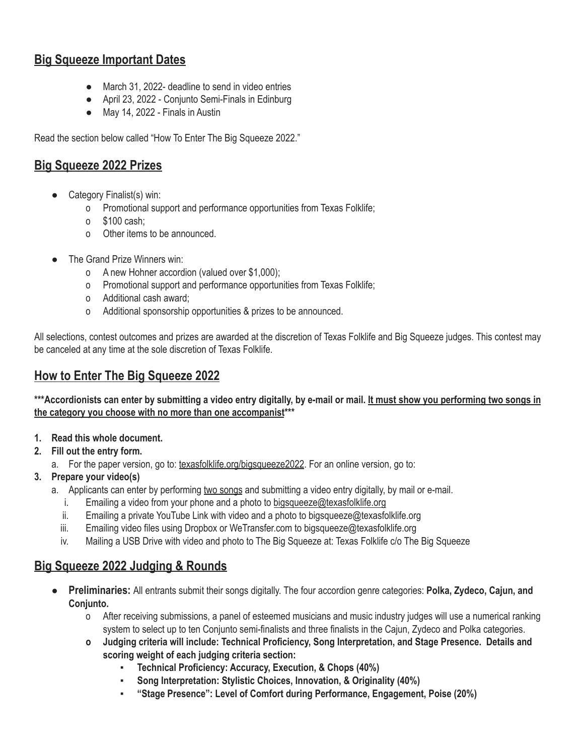## **Big Squeeze Important Dates**

- March 31, 2022- deadline to send in video entries
- April 23, 2022 Conjunto Semi-Finals in Edinburg
- May 14, 2022 Finals in Austin

Read the section below called "How To Enter The Big Squeeze 2022."

## **Big Squeeze 2022 Prizes**

- Category Finalist(s) win:
	- o Promotional support and performance opportunities from Texas Folklife;
	- o \$100 cash;
	- o Other items to be announced.
- The Grand Prize Winners win:
	- o A new Hohner accordion (valued over \$1,000);
	- o Promotional support and performance opportunities from Texas Folklife;
	- o Additional cash award;
	- o Additional sponsorship opportunities & prizes to be announced.

All selections, contest outcomes and prizes are awarded at the discretion of Texas Folklife and Big Squeeze judges. This contest may be canceled at any time at the sole discretion of Texas Folklife.

## **How to Enter The Big Squeeze 2022**

\*\*\* Accordionists can enter by submitting a video entry digitally, by e-mail or mail. It must show you performing two songs in **the category you choose with no more than one accompanist\*\*\***

- **1. Read this whole document.**
- **2. Fill out the entry form.**
	- a. For the paper version, go to: [texasfolklife.org/bigsqueeze2022](http://texasfolklife.org/bigsqueeze2022). For an online version, go to:
- **3. Prepare your video(s)**
	- a. Applicants can enter by performing two songs and submitting a video entry digitally, by mail or e-mail.
		- i. Emailing a video from your phone and a photo to [bigsqueeze@texasfolklife.org](mailto:bigsqueeze@texasfolklife.org)
		- ii. Emailing a private YouTube Link with video and a photo to bigsqueeze@texasfolklife.org
		- iii. Emailing video files using Dropbox or WeTransfer.com to bigsqueeze@texasfolklife.org
		- iv. Mailing a USB Drive with video and photo to The Big Squeeze at: Texas Folklife c/o The Big Squeeze

### **Big Squeeze 2022 Judging & Rounds**

- **Preliminaries:** All entrants submit their songs digitally. The four accordion genre categories: **Polka, Zydeco, Cajun, and Conjunto.**
	- o After receiving submissions, a panel of esteemed musicians and music industry judges will use a numerical ranking system to select up to ten Conjunto semi-finalists and three finalists in the Cajun, Zydeco and Polka categories.
	- **o Judging criteria will include: Technical Proficiency, Song Interpretation, and Stage Presence. Details and scoring weight of each judging criteria section:**
		- **▪ Technical Proficiency: Accuracy, Execution, & Chops (40%)**
		- **▪ Song Interpretation: Stylistic Choices, Innovation, & Originality (40%)**
		- **▪ "Stage Presence": Level of Comfort during Performance, Engagement, Poise (20%)**